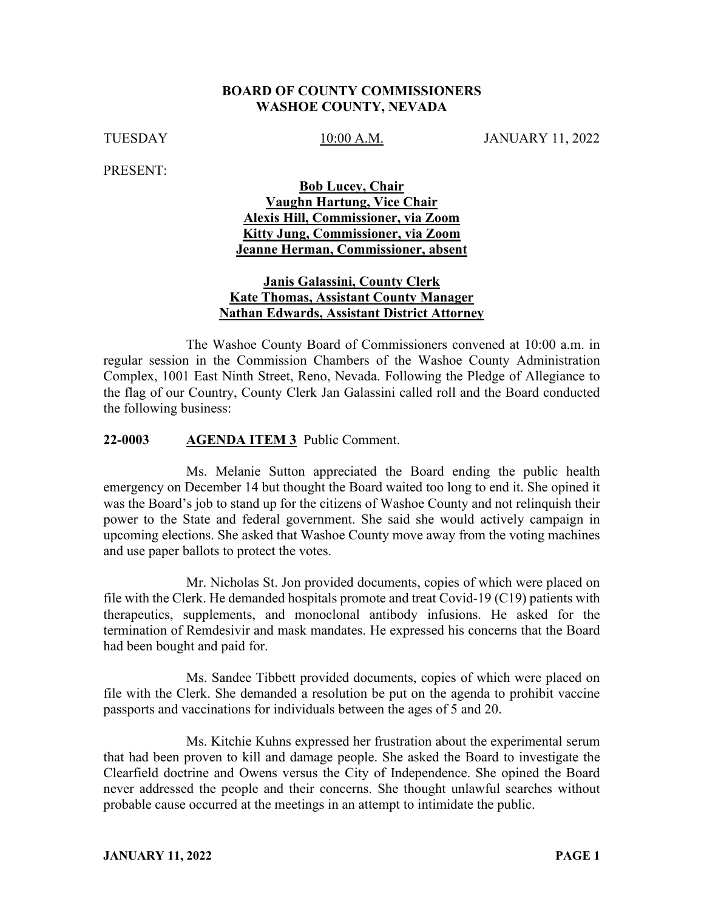#### **BOARD OF COUNTY COMMISSIONERS WASHOE COUNTY, NEVADA**

TUESDAY 10:00 A.M. JANUARY 11, 2022

PRESENT:

## **Bob Lucey, Chair Vaughn Hartung, Vice Chair Alexis Hill, Commissioner, via Zoom Kitty Jung, Commissioner, via Zoom Jeanne Herman, Commissioner, absent**

#### **Janis Galassini, County Clerk Kate Thomas, Assistant County Manager Nathan Edwards, Assistant District Attorney**

The Washoe County Board of Commissioners convened at 10:00 a.m. in regular session in the Commission Chambers of the Washoe County Administration Complex, 1001 East Ninth Street, Reno, Nevada. Following the Pledge of Allegiance to the flag of our Country, County Clerk Jan Galassini called roll and the Board conducted the following business:

#### **22-0003 AGENDA ITEM 3** Public Comment.

Ms. Melanie Sutton appreciated the Board ending the public health emergency on December 14 but thought the Board waited too long to end it. She opined it was the Board's job to stand up for the citizens of Washoe County and not relinquish their power to the State and federal government. She said she would actively campaign in upcoming elections. She asked that Washoe County move away from the voting machines and use paper ballots to protect the votes.

Mr. Nicholas St. Jon provided documents, copies of which were placed on file with the Clerk. He demanded hospitals promote and treat Covid-19 (C19) patients with therapeutics, supplements, and monoclonal antibody infusions. He asked for the termination of Remdesivir and mask mandates. He expressed his concerns that the Board had been bought and paid for.

Ms. Sandee Tibbett provided documents, copies of which were placed on file with the Clerk. She demanded a resolution be put on the agenda to prohibit vaccine passports and vaccinations for individuals between the ages of 5 and 20.

Ms. Kitchie Kuhns expressed her frustration about the experimental serum that had been proven to kill and damage people. She asked the Board to investigate the Clearfield doctrine and Owens versus the City of Independence. She opined the Board never addressed the people and their concerns. She thought unlawful searches without probable cause occurred at the meetings in an attempt to intimidate the public.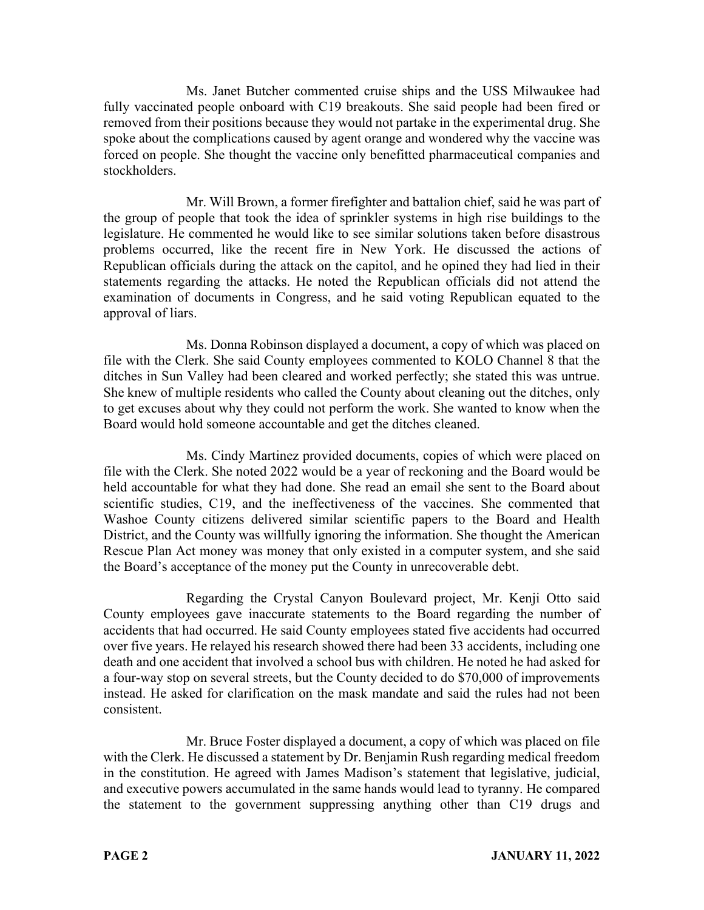Ms. Janet Butcher commented cruise ships and the USS Milwaukee had fully vaccinated people onboard with C19 breakouts. She said people had been fired or removed from their positions because they would not partake in the experimental drug. She spoke about the complications caused by agent orange and wondered why the vaccine was forced on people. She thought the vaccine only benefitted pharmaceutical companies and stockholders.

Mr. Will Brown, a former firefighter and battalion chief, said he was part of the group of people that took the idea of sprinkler systems in high rise buildings to the legislature. He commented he would like to see similar solutions taken before disastrous problems occurred, like the recent fire in New York. He discussed the actions of Republican officials during the attack on the capitol, and he opined they had lied in their statements regarding the attacks. He noted the Republican officials did not attend the examination of documents in Congress, and he said voting Republican equated to the approval of liars.

Ms. Donna Robinson displayed a document, a copy of which was placed on file with the Clerk. She said County employees commented to KOLO Channel 8 that the ditches in Sun Valley had been cleared and worked perfectly; she stated this was untrue. She knew of multiple residents who called the County about cleaning out the ditches, only to get excuses about why they could not perform the work. She wanted to know when the Board would hold someone accountable and get the ditches cleaned.

Ms. Cindy Martinez provided documents, copies of which were placed on file with the Clerk. She noted 2022 would be a year of reckoning and the Board would be held accountable for what they had done. She read an email she sent to the Board about scientific studies, C19, and the ineffectiveness of the vaccines. She commented that Washoe County citizens delivered similar scientific papers to the Board and Health District, and the County was willfully ignoring the information. She thought the American Rescue Plan Act money was money that only existed in a computer system, and she said the Board's acceptance of the money put the County in unrecoverable debt.

Regarding the Crystal Canyon Boulevard project, Mr. Kenji Otto said County employees gave inaccurate statements to the Board regarding the number of accidents that had occurred. He said County employees stated five accidents had occurred over five years. He relayed his research showed there had been 33 accidents, including one death and one accident that involved a school bus with children. He noted he had asked for a four-way stop on several streets, but the County decided to do \$70,000 of improvements instead. He asked for clarification on the mask mandate and said the rules had not been consistent.

Mr. Bruce Foster displayed a document, a copy of which was placed on file with the Clerk. He discussed a statement by Dr. Benjamin Rush regarding medical freedom in the constitution. He agreed with James Madison's statement that legislative, judicial, and executive powers accumulated in the same hands would lead to tyranny. He compared the statement to the government suppressing anything other than C19 drugs and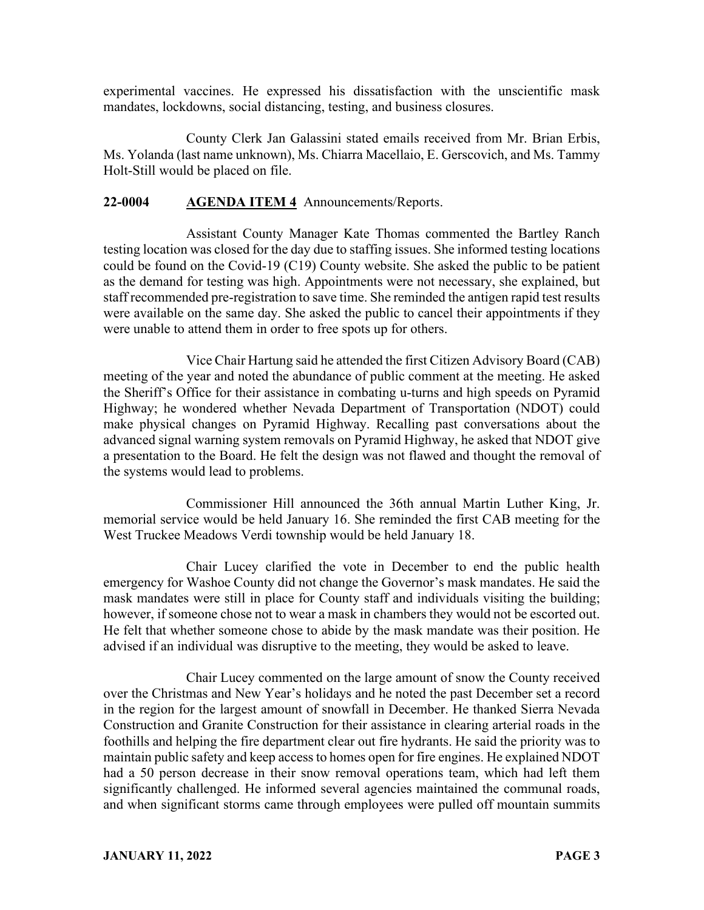experimental vaccines. He expressed his dissatisfaction with the unscientific mask mandates, lockdowns, social distancing, testing, and business closures.

County Clerk Jan Galassini stated emails received from Mr. Brian Erbis, Ms. Yolanda (last name unknown), Ms. Chiarra Macellaio, E. Gerscovich, and Ms. Tammy Holt-Still would be placed on file.

## **22-0004 AGENDA ITEM 4** Announcements/Reports.

Assistant County Manager Kate Thomas commented the Bartley Ranch testing location was closed for the day due to staffing issues. She informed testing locations could be found on the Covid-19 (C19) County website. She asked the public to be patient as the demand for testing was high. Appointments were not necessary, she explained, but staff recommended pre-registration to save time. She reminded the antigen rapid test results were available on the same day. She asked the public to cancel their appointments if they were unable to attend them in order to free spots up for others.

Vice Chair Hartung said he attended the first Citizen Advisory Board (CAB) meeting of the year and noted the abundance of public comment at the meeting. He asked the Sheriff's Office for their assistance in combating u-turns and high speeds on Pyramid Highway; he wondered whether Nevada Department of Transportation (NDOT) could make physical changes on Pyramid Highway. Recalling past conversations about the advanced signal warning system removals on Pyramid Highway, he asked that NDOT give a presentation to the Board. He felt the design was not flawed and thought the removal of the systems would lead to problems.

Commissioner Hill announced the 36th annual Martin Luther King, Jr. memorial service would be held January 16. She reminded the first CAB meeting for the West Truckee Meadows Verdi township would be held January 18.

Chair Lucey clarified the vote in December to end the public health emergency for Washoe County did not change the Governor's mask mandates. He said the mask mandates were still in place for County staff and individuals visiting the building; however, if someone chose not to wear a mask in chambers they would not be escorted out. He felt that whether someone chose to abide by the mask mandate was their position. He advised if an individual was disruptive to the meeting, they would be asked to leave.

Chair Lucey commented on the large amount of snow the County received over the Christmas and New Year's holidays and he noted the past December set a record in the region for the largest amount of snowfall in December. He thanked Sierra Nevada Construction and Granite Construction for their assistance in clearing arterial roads in the foothills and helping the fire department clear out fire hydrants. He said the priority was to maintain public safety and keep access to homes open for fire engines. He explained NDOT had a 50 person decrease in their snow removal operations team, which had left them significantly challenged. He informed several agencies maintained the communal roads, and when significant storms came through employees were pulled off mountain summits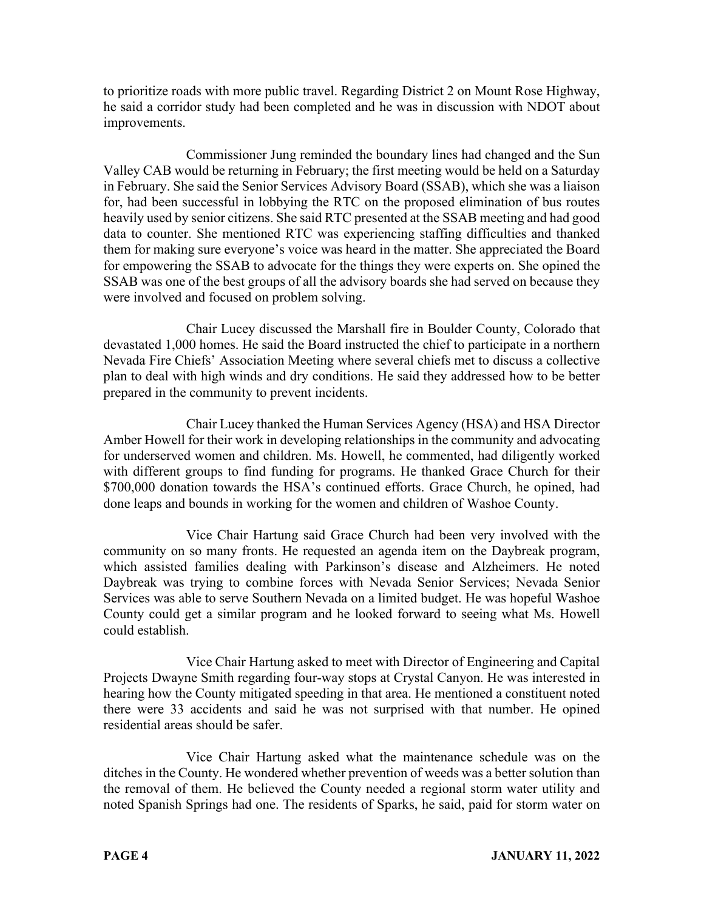to prioritize roads with more public travel. Regarding District 2 on Mount Rose Highway, he said a corridor study had been completed and he was in discussion with NDOT about improvements.

Commissioner Jung reminded the boundary lines had changed and the Sun Valley CAB would be returning in February; the first meeting would be held on a Saturday in February. She said the Senior Services Advisory Board (SSAB), which she was a liaison for, had been successful in lobbying the RTC on the proposed elimination of bus routes heavily used by senior citizens. She said RTC presented at the SSAB meeting and had good data to counter. She mentioned RTC was experiencing staffing difficulties and thanked them for making sure everyone's voice was heard in the matter. She appreciated the Board for empowering the SSAB to advocate for the things they were experts on. She opined the SSAB was one of the best groups of all the advisory boards she had served on because they were involved and focused on problem solving.

Chair Lucey discussed the Marshall fire in Boulder County, Colorado that devastated 1,000 homes. He said the Board instructed the chief to participate in a northern Nevada Fire Chiefs' Association Meeting where several chiefs met to discuss a collective plan to deal with high winds and dry conditions. He said they addressed how to be better prepared in the community to prevent incidents.

Chair Lucey thanked the Human Services Agency (HSA) and HSA Director Amber Howell for their work in developing relationships in the community and advocating for underserved women and children. Ms. Howell, he commented, had diligently worked with different groups to find funding for programs. He thanked Grace Church for their \$700,000 donation towards the HSA's continued efforts. Grace Church, he opined, had done leaps and bounds in working for the women and children of Washoe County.

Vice Chair Hartung said Grace Church had been very involved with the community on so many fronts. He requested an agenda item on the Daybreak program, which assisted families dealing with Parkinson's disease and Alzheimers. He noted Daybreak was trying to combine forces with Nevada Senior Services; Nevada Senior Services was able to serve Southern Nevada on a limited budget. He was hopeful Washoe County could get a similar program and he looked forward to seeing what Ms. Howell could establish.

Vice Chair Hartung asked to meet with Director of Engineering and Capital Projects Dwayne Smith regarding four-way stops at Crystal Canyon. He was interested in hearing how the County mitigated speeding in that area. He mentioned a constituent noted there were 33 accidents and said he was not surprised with that number. He opined residential areas should be safer.

Vice Chair Hartung asked what the maintenance schedule was on the ditches in the County. He wondered whether prevention of weeds was a better solution than the removal of them. He believed the County needed a regional storm water utility and noted Spanish Springs had one. The residents of Sparks, he said, paid for storm water on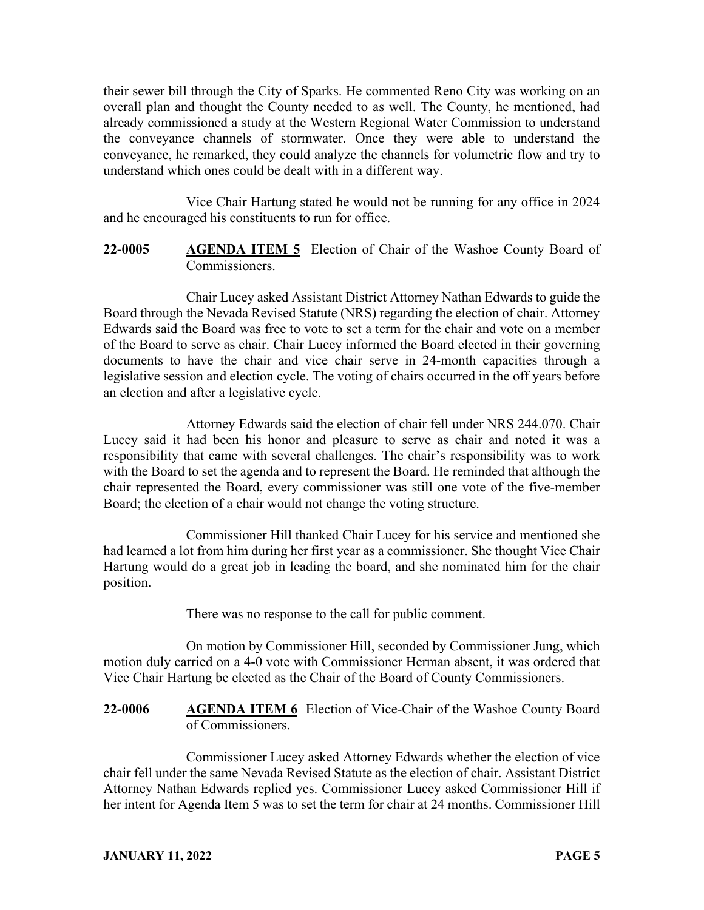their sewer bill through the City of Sparks. He commented Reno City was working on an overall plan and thought the County needed to as well. The County, he mentioned, had already commissioned a study at the Western Regional Water Commission to understand the conveyance channels of stormwater. Once they were able to understand the conveyance, he remarked, they could analyze the channels for volumetric flow and try to understand which ones could be dealt with in a different way.

Vice Chair Hartung stated he would not be running for any office in 2024 and he encouraged his constituents to run for office.

**22-0005 AGENDA ITEM 5** Election of Chair of the Washoe County Board of Commissioners.

Chair Lucey asked Assistant District Attorney Nathan Edwards to guide the Board through the Nevada Revised Statute (NRS) regarding the election of chair. Attorney Edwards said the Board was free to vote to set a term for the chair and vote on a member of the Board to serve as chair. Chair Lucey informed the Board elected in their governing documents to have the chair and vice chair serve in 24-month capacities through a legislative session and election cycle. The voting of chairs occurred in the off years before an election and after a legislative cycle.

Attorney Edwards said the election of chair fell under NRS 244.070. Chair Lucey said it had been his honor and pleasure to serve as chair and noted it was a responsibility that came with several challenges. The chair's responsibility was to work with the Board to set the agenda and to represent the Board. He reminded that although the chair represented the Board, every commissioner was still one vote of the five-member Board; the election of a chair would not change the voting structure.

Commissioner Hill thanked Chair Lucey for his service and mentioned she had learned a lot from him during her first year as a commissioner. She thought Vice Chair Hartung would do a great job in leading the board, and she nominated him for the chair position.

There was no response to the call for public comment.

On motion by Commissioner Hill, seconded by Commissioner Jung, which motion duly carried on a 4-0 vote with Commissioner Herman absent, it was ordered that Vice Chair Hartung be elected as the Chair of the Board of County Commissioners.

**22-0006 AGENDA ITEM 6** Election of Vice-Chair of the Washoe County Board of Commissioners.

Commissioner Lucey asked Attorney Edwards whether the election of vice chair fell under the same Nevada Revised Statute as the election of chair. Assistant District Attorney Nathan Edwards replied yes. Commissioner Lucey asked Commissioner Hill if her intent for Agenda Item 5 was to set the term for chair at 24 months. Commissioner Hill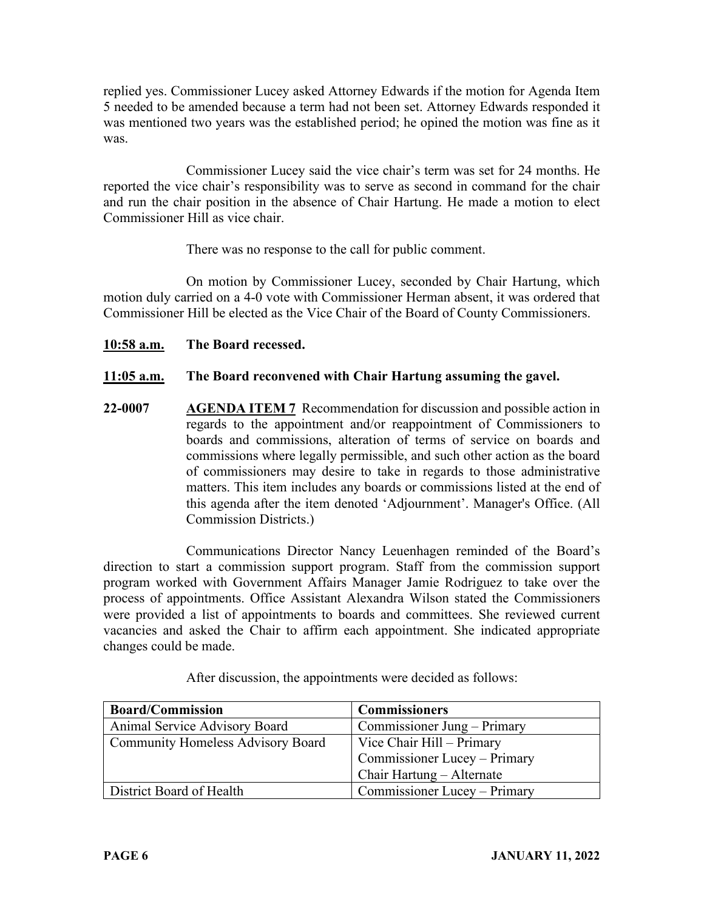replied yes. Commissioner Lucey asked Attorney Edwards if the motion for Agenda Item 5 needed to be amended because a term had not been set. Attorney Edwards responded it was mentioned two years was the established period; he opined the motion was fine as it was.

Commissioner Lucey said the vice chair's term was set for 24 months. He reported the vice chair's responsibility was to serve as second in command for the chair and run the chair position in the absence of Chair Hartung. He made a motion to elect Commissioner Hill as vice chair.

There was no response to the call for public comment.

On motion by Commissioner Lucey, seconded by Chair Hartung, which motion duly carried on a 4-0 vote with Commissioner Herman absent, it was ordered that Commissioner Hill be elected as the Vice Chair of the Board of County Commissioners.

**10:58 a.m. The Board recessed.**

## **11:05 a.m. The Board reconvened with Chair Hartung assuming the gavel.**

**22-0007 AGENDA ITEM 7** Recommendation for discussion and possible action in regards to the appointment and/or reappointment of Commissioners to boards and commissions, alteration of terms of service on boards and commissions where legally permissible, and such other action as the board of commissioners may desire to take in regards to those administrative matters. This item includes any boards or commissions listed at the end of this agenda after the item denoted 'Adjournment'. Manager's Office. (All Commission Districts.)

Communications Director Nancy Leuenhagen reminded of the Board's direction to start a commission support program. Staff from the commission support program worked with Government Affairs Manager Jamie Rodriguez to take over the process of appointments. Office Assistant Alexandra Wilson stated the Commissioners were provided a list of appointments to boards and committees. She reviewed current vacancies and asked the Chair to affirm each appointment. She indicated appropriate changes could be made.

| <b>Board/Commission</b>                  | <b>Commissioners</b>         |
|------------------------------------------|------------------------------|
| Animal Service Advisory Board            | Commissioner Jung – Primary  |
| <b>Community Homeless Advisory Board</b> | Vice Chair Hill – Primary    |
|                                          | Commissioner Lucey - Primary |
|                                          | Chair Hartung – Alternate    |
| District Board of Health                 | Commissioner Lucey – Primary |

After discussion, the appointments were decided as follows: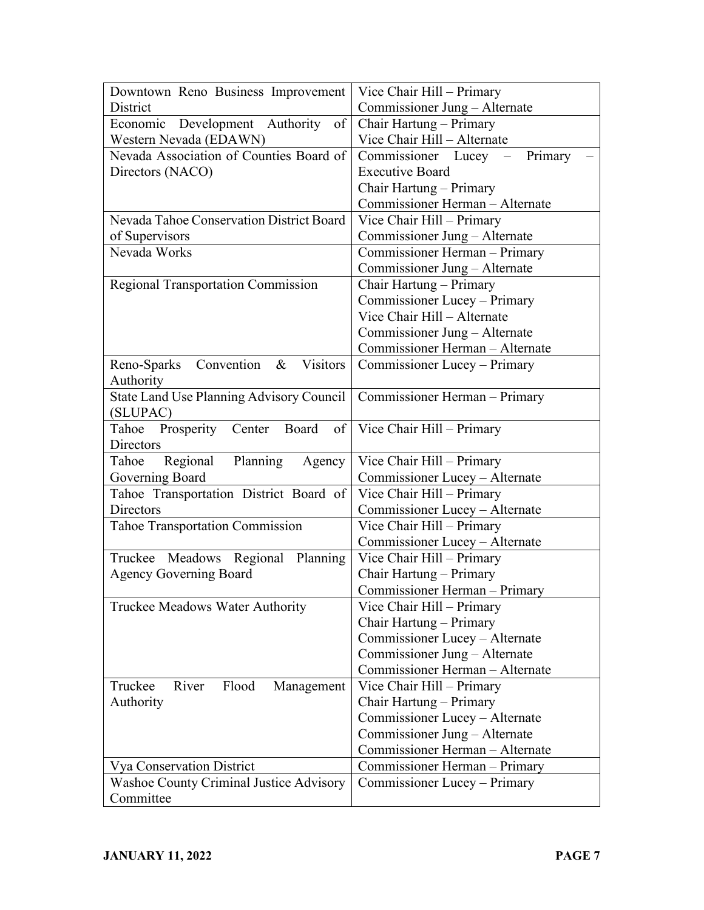| Downtown Reno Business Improvement                                | Vice Chair Hill - Primary       |
|-------------------------------------------------------------------|---------------------------------|
| District                                                          | Commissioner Jung – Alternate   |
| Development Authority<br>Economic<br>of                           | Chair Hartung - Primary         |
| Western Nevada (EDAWN)                                            | Vice Chair Hill - Alternate     |
| Nevada Association of Counties Board of                           | Commissioner Lucey – Primary    |
| Directors (NACO)                                                  | <b>Executive Board</b>          |
|                                                                   | Chair Hartung – Primary         |
|                                                                   | Commissioner Herman - Alternate |
| Nevada Tahoe Conservation District Board                          | Vice Chair Hill - Primary       |
| of Supervisors                                                    | Commissioner Jung - Alternate   |
| Nevada Works                                                      | Commissioner Herman - Primary   |
|                                                                   | Commissioner Jung - Alternate   |
| Regional Transportation Commission                                | Chair Hartung - Primary         |
|                                                                   | Commissioner Lucey - Primary    |
|                                                                   | Vice Chair Hill - Alternate     |
|                                                                   | Commissioner Jung – Alternate   |
|                                                                   | Commissioner Herman - Alternate |
| <b>Visitors</b><br>Convention<br>Reno-Sparks<br>$\&$<br>Authority | Commissioner Lucey - Primary    |
| State Land Use Planning Advisory Council<br>(SLUPAC)              | Commissioner Herman - Primary   |
| Tahoe Prosperity Center Board<br>of                               | Vice Chair Hill - Primary       |
| <b>Directors</b>                                                  |                                 |
| Regional<br>Planning<br>Agency<br>Tahoe                           | Vice Chair Hill - Primary       |
| Governing Board                                                   | Commissioner Lucey - Alternate  |
| Tahoe Transportation District Board of                            | Vice Chair Hill - Primary       |
| <b>Directors</b>                                                  | Commissioner Lucey - Alternate  |
| <b>Tahoe Transportation Commission</b>                            | Vice Chair Hill - Primary       |
|                                                                   | Commissioner Lucey - Alternate  |
| Truckee Meadows Regional Planning                                 | Vice Chair Hill - Primary       |
| <b>Agency Governing Board</b>                                     | Chair Hartung - Primary         |
|                                                                   | Commissioner Herman - Primary   |
| Truckee Meadows Water Authority                                   | Vice Chair Hill - Primary       |
|                                                                   | Chair Hartung - Primary         |
|                                                                   | Commissioner Lucey - Alternate  |
|                                                                   | Commissioner Jung – Alternate   |
|                                                                   | Commissioner Herman - Alternate |
| Truckee<br>Flood<br>River<br>Management                           | Vice Chair Hill - Primary       |
| Authority                                                         | Chair Hartung - Primary         |
|                                                                   | Commissioner Lucey - Alternate  |
|                                                                   | Commissioner Jung - Alternate   |
|                                                                   | Commissioner Herman - Alternate |
| <b>Vya Conservation District</b>                                  | Commissioner Herman – Primary   |
| Washoe County Criminal Justice Advisory                           | Commissioner Lucey - Primary    |
| Committee                                                         |                                 |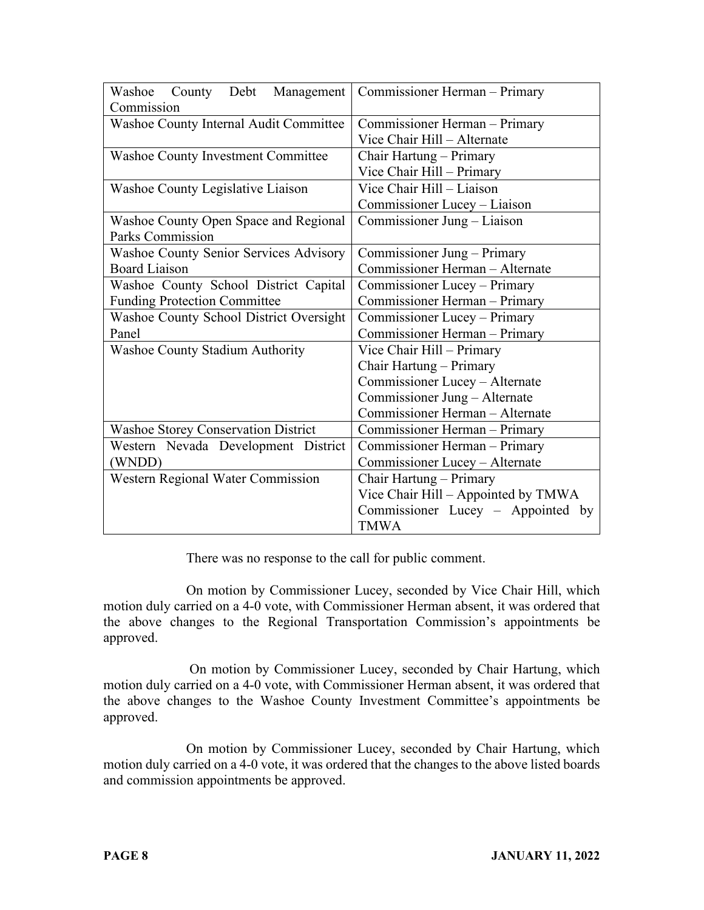| Washoe County Debt Management<br>Commission   | Commissioner Herman - Primary       |
|-----------------------------------------------|-------------------------------------|
| Washoe County Internal Audit Committee        | Commissioner Herman - Primary       |
|                                               | Vice Chair Hill - Alternate         |
| <b>Washoe County Investment Committee</b>     | Chair Hartung - Primary             |
|                                               | Vice Chair Hill - Primary           |
| Washoe County Legislative Liaison             | Vice Chair Hill - Liaison           |
|                                               | Commissioner Lucey - Liaison        |
| Washoe County Open Space and Regional         | Commissioner Jung - Liaison         |
| <b>Parks Commission</b>                       |                                     |
| <b>Washoe County Senior Services Advisory</b> | Commissioner Jung - Primary         |
| <b>Board Liaison</b>                          | Commissioner Herman - Alternate     |
| Washoe County School District Capital         | Commissioner Lucey - Primary        |
| <b>Funding Protection Committee</b>           | Commissioner Herman - Primary       |
| Washoe County School District Oversight       | Commissioner Lucey - Primary        |
| Panel                                         | Commissioner Herman - Primary       |
| <b>Washoe County Stadium Authority</b>        | Vice Chair Hill - Primary           |
|                                               | Chair Hartung - Primary             |
|                                               | Commissioner Lucey - Alternate      |
|                                               | Commissioner Jung - Alternate       |
|                                               | Commissioner Herman - Alternate     |
| <b>Washoe Storey Conservation District</b>    | Commissioner Herman - Primary       |
| Western Nevada Development District           | Commissioner Herman – Primary       |
| (WNDD)                                        | Commissioner Lucey - Alternate      |
| Western Regional Water Commission             | Chair Hartung - Primary             |
|                                               | Vice Chair Hill – Appointed by TMWA |
|                                               | Commissioner Lucey – Appointed by   |
|                                               | <b>TMWA</b>                         |

There was no response to the call for public comment.

On motion by Commissioner Lucey, seconded by Vice Chair Hill, which motion duly carried on a 4-0 vote, with Commissioner Herman absent, it was ordered that the above changes to the Regional Transportation Commission's appointments be approved.

On motion by Commissioner Lucey, seconded by Chair Hartung, which motion duly carried on a 4-0 vote, with Commissioner Herman absent, it was ordered that the above changes to the Washoe County Investment Committee's appointments be approved.

On motion by Commissioner Lucey, seconded by Chair Hartung, which motion duly carried on a 4-0 vote, it was ordered that the changes to the above listed boards and commission appointments be approved.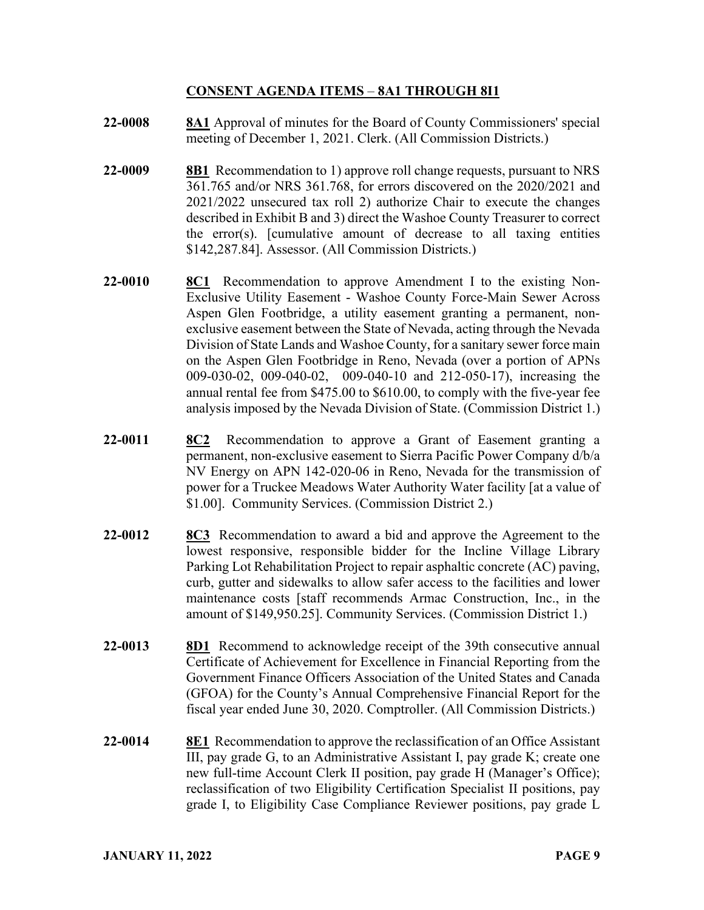### **CONSENT AGENDA ITEMS** – **8A1 THROUGH 8I1**

- **22-0008 8A1** Approval of minutes for the Board of County Commissioners' special meeting of December 1, 2021. Clerk. (All Commission Districts.)
- **22-0009 8B1** Recommendation to 1) approve roll change requests, pursuant to NRS 361.765 and/or NRS 361.768, for errors discovered on the 2020/2021 and 2021/2022 unsecured tax roll 2) authorize Chair to execute the changes described in Exhibit B and 3) direct the Washoe County Treasurer to correct the error(s). [cumulative amount of decrease to all taxing entities \$142,287.84]. Assessor. (All Commission Districts.)
- **22-0010 8C1** Recommendation to approve Amendment I to the existing Non-Exclusive Utility Easement - Washoe County Force-Main Sewer Across Aspen Glen Footbridge, a utility easement granting a permanent, nonexclusive easement between the State of Nevada, acting through the Nevada Division of State Lands and Washoe County, for a sanitary sewer force main on the Aspen Glen Footbridge in Reno, Nevada (over a portion of APNs 009-030-02, 009-040-02, 009-040-10 and 212-050-17), increasing the annual rental fee from \$475.00 to \$610.00, to comply with the five-year fee analysis imposed by the Nevada Division of State. (Commission District 1.)
- **22-0011 8C2** Recommendation to approve a Grant of Easement granting a permanent, non-exclusive easement to Sierra Pacific Power Company d/b/a NV Energy on APN 142-020-06 in Reno, Nevada for the transmission of power for a Truckee Meadows Water Authority Water facility [at a value of \$1.00]. Community Services. (Commission District 2.)
- **22-0012 8C3** Recommendation to award a bid and approve the Agreement to the lowest responsive, responsible bidder for the Incline Village Library Parking Lot Rehabilitation Project to repair asphaltic concrete (AC) paving, curb, gutter and sidewalks to allow safer access to the facilities and lower maintenance costs [staff recommends Armac Construction, Inc., in the amount of \$149,950.25]. Community Services. (Commission District 1.)
- **22-0013 8D1** Recommend to acknowledge receipt of the 39th consecutive annual Certificate of Achievement for Excellence in Financial Reporting from the Government Finance Officers Association of the United States and Canada (GFOA) for the County's Annual Comprehensive Financial Report for the fiscal year ended June 30, 2020. Comptroller. (All Commission Districts.)
- **22-0014 8E1** Recommendation to approve the reclassification of an Office Assistant III, pay grade G, to an Administrative Assistant I, pay grade K; create one new full-time Account Clerk II position, pay grade H (Manager's Office); reclassification of two Eligibility Certification Specialist II positions, pay grade I, to Eligibility Case Compliance Reviewer positions, pay grade L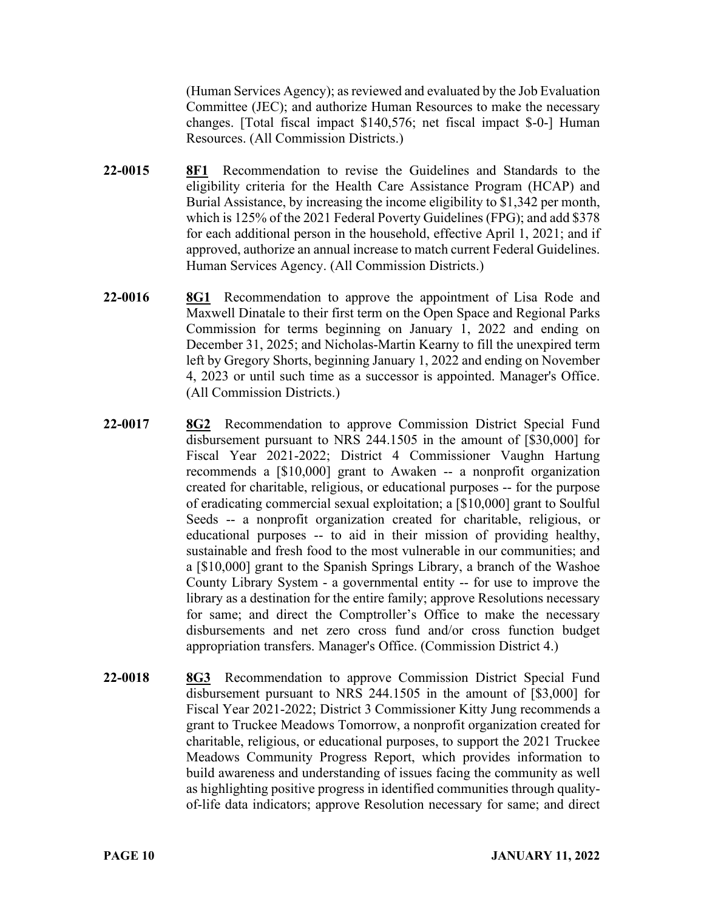(Human Services Agency); as reviewed and evaluated by the Job Evaluation Committee (JEC); and authorize Human Resources to make the necessary changes. [Total fiscal impact \$140,576; net fiscal impact \$-0-] Human Resources. (All Commission Districts.)

- **22-0015 8F1** Recommendation to revise the Guidelines and Standards to the eligibility criteria for the Health Care Assistance Program (HCAP) and Burial Assistance, by increasing the income eligibility to \$1,342 per month, which is 125% of the 2021 Federal Poverty Guidelines (FPG); and add \$378 for each additional person in the household, effective April 1, 2021; and if approved, authorize an annual increase to match current Federal Guidelines. Human Services Agency. (All Commission Districts.)
- **22-0016 8G1** Recommendation to approve the appointment of Lisa Rode and Maxwell Dinatale to their first term on the Open Space and Regional Parks Commission for terms beginning on January 1, 2022 and ending on December 31, 2025; and Nicholas-Martin Kearny to fill the unexpired term left by Gregory Shorts, beginning January 1, 2022 and ending on November 4, 2023 or until such time as a successor is appointed. Manager's Office. (All Commission Districts.)
- **22-0017 8G2** Recommendation to approve Commission District Special Fund disbursement pursuant to NRS 244.1505 in the amount of [\$30,000] for Fiscal Year 2021-2022; District 4 Commissioner Vaughn Hartung recommends a [\$10,000] grant to Awaken -- a nonprofit organization created for charitable, religious, or educational purposes -- for the purpose of eradicating commercial sexual exploitation; a [\$10,000] grant to Soulful Seeds -- a nonprofit organization created for charitable, religious, or educational purposes -- to aid in their mission of providing healthy, sustainable and fresh food to the most vulnerable in our communities; and a [\$10,000] grant to the Spanish Springs Library, a branch of the Washoe County Library System - a governmental entity -- for use to improve the library as a destination for the entire family; approve Resolutions necessary for same; and direct the Comptroller's Office to make the necessary disbursements and net zero cross fund and/or cross function budget appropriation transfers. Manager's Office. (Commission District 4.)
- **22-0018 8G3** Recommendation to approve Commission District Special Fund disbursement pursuant to NRS 244.1505 in the amount of [\$3,000] for Fiscal Year 2021-2022; District 3 Commissioner Kitty Jung recommends a grant to Truckee Meadows Tomorrow, a nonprofit organization created for charitable, religious, or educational purposes, to support the 2021 Truckee Meadows Community Progress Report, which provides information to build awareness and understanding of issues facing the community as well as highlighting positive progress in identified communities through qualityof-life data indicators; approve Resolution necessary for same; and direct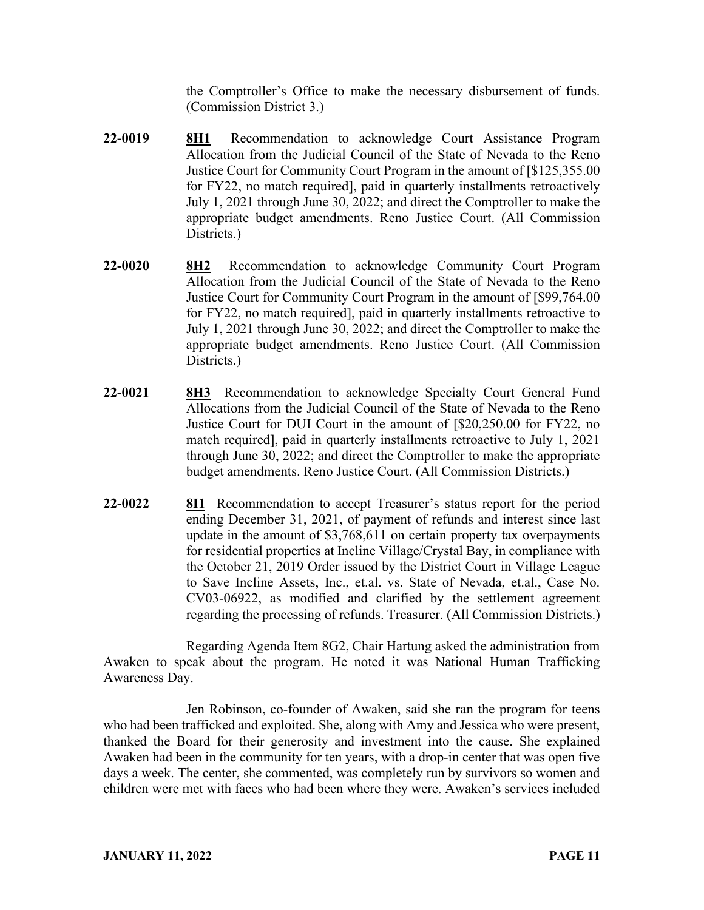the Comptroller's Office to make the necessary disbursement of funds. (Commission District 3.)

- **22-0019 8H1** Recommendation to acknowledge Court Assistance Program Allocation from the Judicial Council of the State of Nevada to the Reno Justice Court for Community Court Program in the amount of [\$125,355.00 for FY22, no match required], paid in quarterly installments retroactively July 1, 2021 through June 30, 2022; and direct the Comptroller to make the appropriate budget amendments. Reno Justice Court. (All Commission Districts.)
- **22-0020 8H2** Recommendation to acknowledge Community Court Program Allocation from the Judicial Council of the State of Nevada to the Reno Justice Court for Community Court Program in the amount of [\$99,764.00 for FY22, no match required], paid in quarterly installments retroactive to July 1, 2021 through June 30, 2022; and direct the Comptroller to make the appropriate budget amendments. Reno Justice Court. (All Commission Districts.)
- **22-0021 8H3** Recommendation to acknowledge Specialty Court General Fund Allocations from the Judicial Council of the State of Nevada to the Reno Justice Court for DUI Court in the amount of [\$20,250.00 for FY22, no match required], paid in quarterly installments retroactive to July 1, 2021 through June 30, 2022; and direct the Comptroller to make the appropriate budget amendments. Reno Justice Court. (All Commission Districts.)
- **22-0022 8I1** Recommendation to accept Treasurer's status report for the period ending December 31, 2021, of payment of refunds and interest since last update in the amount of \$3,768,611 on certain property tax overpayments for residential properties at Incline Village/Crystal Bay, in compliance with the October 21, 2019 Order issued by the District Court in Village League to Save Incline Assets, Inc., et.al. vs. State of Nevada, et.al., Case No. CV03-06922, as modified and clarified by the settlement agreement regarding the processing of refunds. Treasurer. (All Commission Districts.)

Regarding Agenda Item 8G2, Chair Hartung asked the administration from Awaken to speak about the program. He noted it was National Human Trafficking Awareness Day.

Jen Robinson, co-founder of Awaken, said she ran the program for teens who had been trafficked and exploited. She, along with Amy and Jessica who were present, thanked the Board for their generosity and investment into the cause. She explained Awaken had been in the community for ten years, with a drop-in center that was open five days a week. The center, she commented, was completely run by survivors so women and children were met with faces who had been where they were. Awaken's services included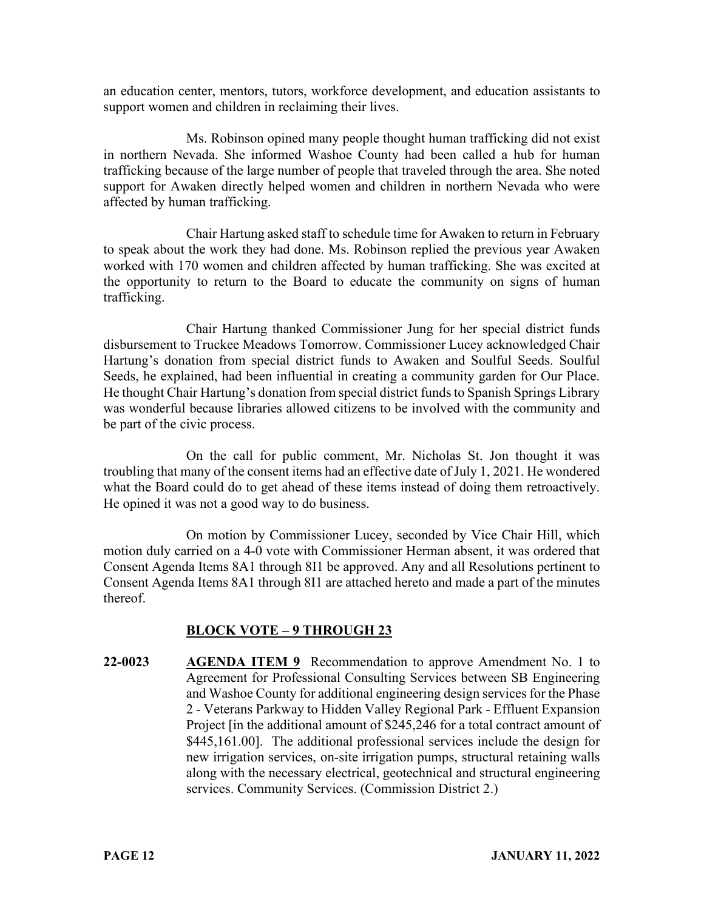an education center, mentors, tutors, workforce development, and education assistants to support women and children in reclaiming their lives.

Ms. Robinson opined many people thought human trafficking did not exist in northern Nevada. She informed Washoe County had been called a hub for human trafficking because of the large number of people that traveled through the area. She noted support for Awaken directly helped women and children in northern Nevada who were affected by human trafficking.

Chair Hartung asked staff to schedule time for Awaken to return in February to speak about the work they had done. Ms. Robinson replied the previous year Awaken worked with 170 women and children affected by human trafficking. She was excited at the opportunity to return to the Board to educate the community on signs of human trafficking.

Chair Hartung thanked Commissioner Jung for her special district funds disbursement to Truckee Meadows Tomorrow. Commissioner Lucey acknowledged Chair Hartung's donation from special district funds to Awaken and Soulful Seeds. Soulful Seeds, he explained, had been influential in creating a community garden for Our Place. He thought Chair Hartung's donation from special district funds to Spanish Springs Library was wonderful because libraries allowed citizens to be involved with the community and be part of the civic process.

On the call for public comment, Mr. Nicholas St. Jon thought it was troubling that many of the consent items had an effective date of July 1, 2021. He wondered what the Board could do to get ahead of these items instead of doing them retroactively. He opined it was not a good way to do business.

On motion by Commissioner Lucey, seconded by Vice Chair Hill, which motion duly carried on a 4-0 vote with Commissioner Herman absent, it was ordered that Consent Agenda Items 8A1 through 8I1 be approved. Any and all Resolutions pertinent to Consent Agenda Items 8A1 through 8I1 are attached hereto and made a part of the minutes thereof.

# **BLOCK VOTE – 9 THROUGH 23**

**22-0023 AGENDA ITEM 9** Recommendation to approve Amendment No. 1 to Agreement for Professional Consulting Services between SB Engineering and Washoe County for additional engineering design services for the Phase 2 - Veterans Parkway to Hidden Valley Regional Park - Effluent Expansion Project [in the additional amount of \$245,246 for a total contract amount of \$445,161.00]. The additional professional services include the design for new irrigation services, on-site irrigation pumps, structural retaining walls along with the necessary electrical, geotechnical and structural engineering services. Community Services. (Commission District 2.)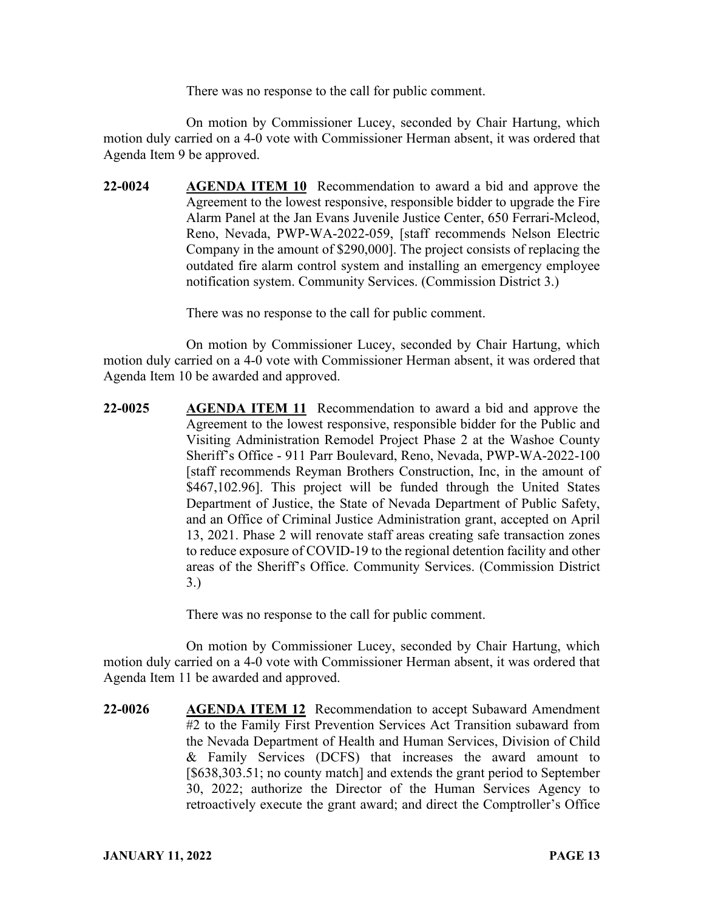There was no response to the call for public comment.

On motion by Commissioner Lucey, seconded by Chair Hartung, which motion duly carried on a 4-0 vote with Commissioner Herman absent, it was ordered that Agenda Item 9 be approved.

**22-0024 AGENDA ITEM 10** Recommendation to award a bid and approve the Agreement to the lowest responsive, responsible bidder to upgrade the Fire Alarm Panel at the Jan Evans Juvenile Justice Center, 650 Ferrari-Mcleod, Reno, Nevada, PWP-WA-2022-059, [staff recommends Nelson Electric Company in the amount of \$290,000]. The project consists of replacing the outdated fire alarm control system and installing an emergency employee notification system. Community Services. (Commission District 3.)

There was no response to the call for public comment.

On motion by Commissioner Lucey, seconded by Chair Hartung, which motion duly carried on a 4-0 vote with Commissioner Herman absent, it was ordered that Agenda Item 10 be awarded and approved.

**22-0025 AGENDA ITEM 11** Recommendation to award a bid and approve the Agreement to the lowest responsive, responsible bidder for the Public and Visiting Administration Remodel Project Phase 2 at the Washoe County Sheriff's Office - 911 Parr Boulevard, Reno, Nevada, PWP-WA-2022-100 [staff recommends Reyman Brothers Construction, Inc, in the amount of \$467,102.96]. This project will be funded through the United States Department of Justice, the State of Nevada Department of Public Safety, and an Office of Criminal Justice Administration grant, accepted on April 13, 2021. Phase 2 will renovate staff areas creating safe transaction zones to reduce exposure of COVID-19 to the regional detention facility and other areas of the Sheriff's Office. Community Services. (Commission District 3.)

There was no response to the call for public comment.

On motion by Commissioner Lucey, seconded by Chair Hartung, which motion duly carried on a 4-0 vote with Commissioner Herman absent, it was ordered that Agenda Item 11 be awarded and approved.

**22-0026 AGENDA ITEM 12** Recommendation to accept Subaward Amendment #2 to the Family First Prevention Services Act Transition subaward from the Nevada Department of Health and Human Services, Division of Child & Family Services (DCFS) that increases the award amount to [\$638,303.51; no county match] and extends the grant period to September 30, 2022; authorize the Director of the Human Services Agency to retroactively execute the grant award; and direct the Comptroller's Office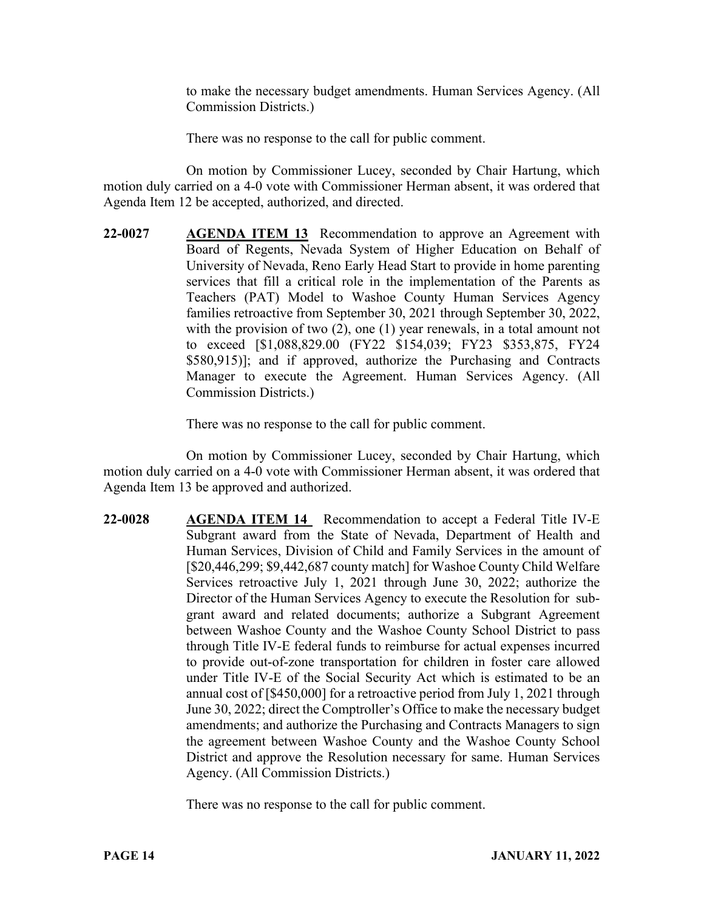to make the necessary budget amendments. Human Services Agency. (All Commission Districts.)

There was no response to the call for public comment.

On motion by Commissioner Lucey, seconded by Chair Hartung, which motion duly carried on a 4-0 vote with Commissioner Herman absent, it was ordered that Agenda Item 12 be accepted, authorized, and directed.

**22-0027 AGENDA ITEM 13** Recommendation to approve an Agreement with Board of Regents, Nevada System of Higher Education on Behalf of University of Nevada, Reno Early Head Start to provide in home parenting services that fill a critical role in the implementation of the Parents as Teachers (PAT) Model to Washoe County Human Services Agency families retroactive from September 30, 2021 through September 30, 2022, with the provision of two (2), one (1) year renewals, in a total amount not to exceed [\$1,088,829.00 (FY22 \$154,039; FY23 \$353,875, FY24 \$580,915)]; and if approved, authorize the Purchasing and Contracts Manager to execute the Agreement. Human Services Agency. (All Commission Districts.)

There was no response to the call for public comment.

On motion by Commissioner Lucey, seconded by Chair Hartung, which motion duly carried on a 4-0 vote with Commissioner Herman absent, it was ordered that Agenda Item 13 be approved and authorized.

**22-0028 AGENDA ITEM 14** Recommendation to accept a Federal Title IV-E Subgrant award from the State of Nevada, Department of Health and Human Services, Division of Child and Family Services in the amount of [\$20,446,299; \$9,442,687 county match] for Washoe County Child Welfare Services retroactive July 1, 2021 through June 30, 2022; authorize the Director of the Human Services Agency to execute the Resolution for subgrant award and related documents; authorize a Subgrant Agreement between Washoe County and the Washoe County School District to pass through Title IV-E federal funds to reimburse for actual expenses incurred to provide out-of-zone transportation for children in foster care allowed under Title IV-E of the Social Security Act which is estimated to be an annual cost of [\$450,000] for a retroactive period from July 1, 2021 through June 30, 2022; direct the Comptroller's Office to make the necessary budget amendments; and authorize the Purchasing and Contracts Managers to sign the agreement between Washoe County and the Washoe County School District and approve the Resolution necessary for same. Human Services Agency. (All Commission Districts.)

There was no response to the call for public comment.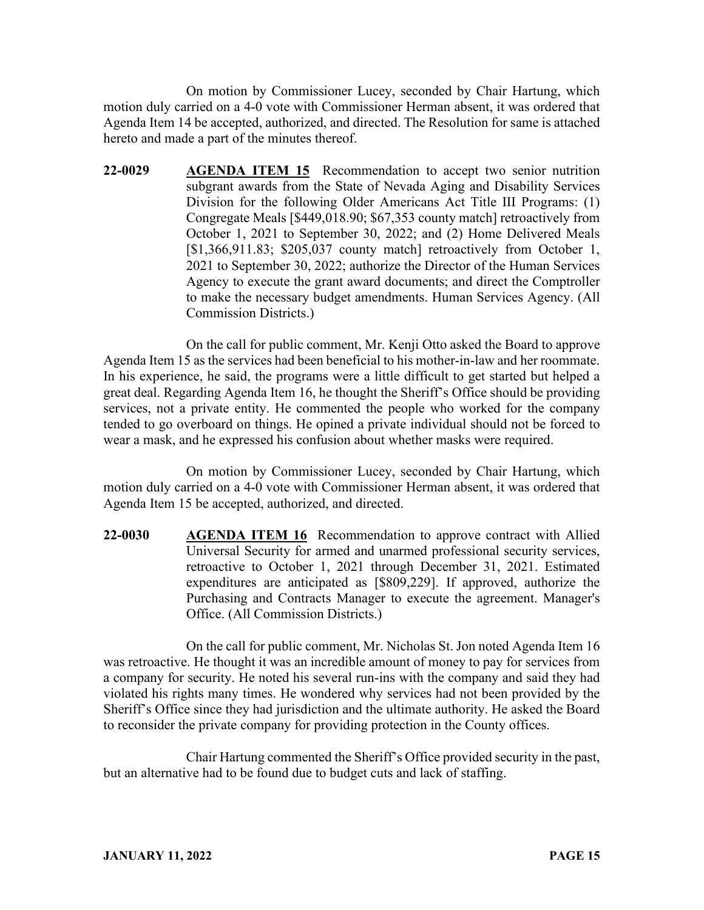On motion by Commissioner Lucey, seconded by Chair Hartung, which motion duly carried on a 4-0 vote with Commissioner Herman absent, it was ordered that Agenda Item 14 be accepted, authorized, and directed. The Resolution for same is attached hereto and made a part of the minutes thereof.

**22-0029 AGENDA ITEM 15** Recommendation to accept two senior nutrition subgrant awards from the State of Nevada Aging and Disability Services Division for the following Older Americans Act Title III Programs: (1) Congregate Meals [\$449,018.90; \$67,353 county match] retroactively from October 1, 2021 to September 30, 2022; and (2) Home Delivered Meals [\$1,366,911.83; \$205,037 county match] retroactively from October 1, 2021 to September 30, 2022; authorize the Director of the Human Services Agency to execute the grant award documents; and direct the Comptroller to make the necessary budget amendments. Human Services Agency. (All Commission Districts.)

On the call for public comment, Mr. Kenji Otto asked the Board to approve Agenda Item 15 as the services had been beneficial to his mother-in-law and her roommate. In his experience, he said, the programs were a little difficult to get started but helped a great deal. Regarding Agenda Item 16, he thought the Sheriff's Office should be providing services, not a private entity. He commented the people who worked for the company tended to go overboard on things. He opined a private individual should not be forced to wear a mask, and he expressed his confusion about whether masks were required.

On motion by Commissioner Lucey, seconded by Chair Hartung, which motion duly carried on a 4-0 vote with Commissioner Herman absent, it was ordered that Agenda Item 15 be accepted, authorized, and directed.

**22-0030 AGENDA ITEM 16** Recommendation to approve contract with Allied Universal Security for armed and unarmed professional security services, retroactive to October 1, 2021 through December 31, 2021. Estimated expenditures are anticipated as [\$809,229]. If approved, authorize the Purchasing and Contracts Manager to execute the agreement. Manager's Office. (All Commission Districts.)

On the call for public comment, Mr. Nicholas St. Jon noted Agenda Item 16 was retroactive. He thought it was an incredible amount of money to pay for services from a company for security. He noted his several run-ins with the company and said they had violated his rights many times. He wondered why services had not been provided by the Sheriff's Office since they had jurisdiction and the ultimate authority. He asked the Board to reconsider the private company for providing protection in the County offices.

Chair Hartung commented the Sheriff's Office provided security in the past, but an alternative had to be found due to budget cuts and lack of staffing.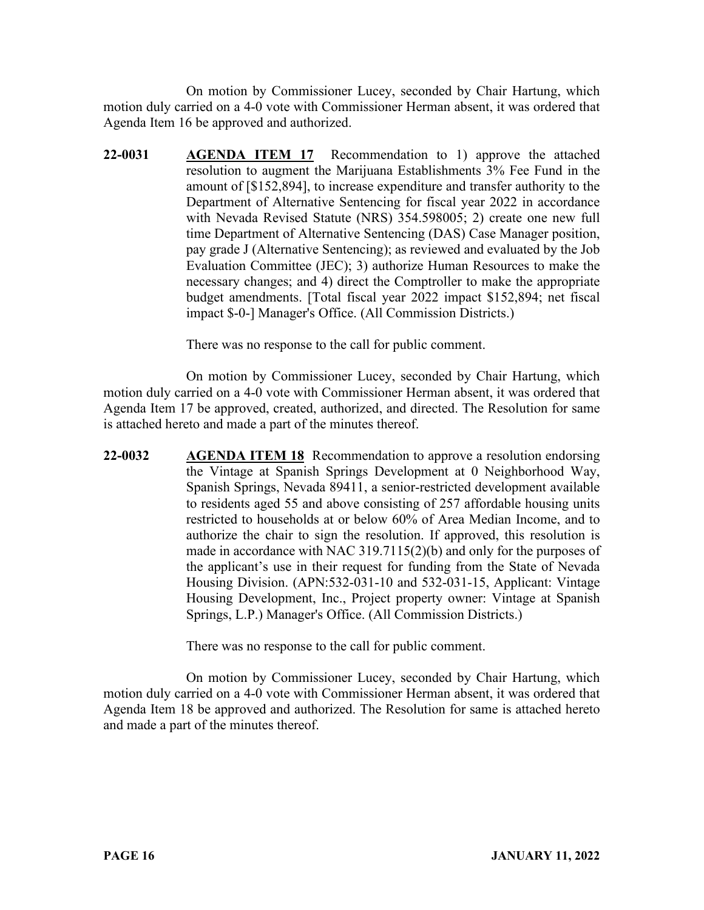On motion by Commissioner Lucey, seconded by Chair Hartung, which motion duly carried on a 4-0 vote with Commissioner Herman absent, it was ordered that Agenda Item 16 be approved and authorized.

**22-0031 AGENDA ITEM 17** Recommendation to 1) approve the attached resolution to augment the Marijuana Establishments 3% Fee Fund in the amount of [\$152,894], to increase expenditure and transfer authority to the Department of Alternative Sentencing for fiscal year 2022 in accordance with Nevada Revised Statute (NRS) 354.598005; 2) create one new full time Department of Alternative Sentencing (DAS) Case Manager position, pay grade J (Alternative Sentencing); as reviewed and evaluated by the Job Evaluation Committee (JEC); 3) authorize Human Resources to make the necessary changes; and 4) direct the Comptroller to make the appropriate budget amendments. [Total fiscal year 2022 impact \$152,894; net fiscal impact \$-0-] Manager's Office. (All Commission Districts.)

There was no response to the call for public comment.

On motion by Commissioner Lucey, seconded by Chair Hartung, which motion duly carried on a 4-0 vote with Commissioner Herman absent, it was ordered that Agenda Item 17 be approved, created, authorized, and directed. The Resolution for same is attached hereto and made a part of the minutes thereof.

**22-0032 AGENDA ITEM 18** Recommendation to approve a resolution endorsing the Vintage at Spanish Springs Development at 0 Neighborhood Way, Spanish Springs, Nevada 89411, a senior-restricted development available to residents aged 55 and above consisting of 257 affordable housing units restricted to households at or below 60% of Area Median Income, and to authorize the chair to sign the resolution. If approved, this resolution is made in accordance with NAC 319.7115(2)(b) and only for the purposes of the applicant's use in their request for funding from the State of Nevada Housing Division. (APN:532-031-10 and 532-031-15, Applicant: Vintage Housing Development, Inc., Project property owner: Vintage at Spanish Springs, L.P.) Manager's Office. (All Commission Districts.)

There was no response to the call for public comment.

On motion by Commissioner Lucey, seconded by Chair Hartung, which motion duly carried on a 4-0 vote with Commissioner Herman absent, it was ordered that Agenda Item 18 be approved and authorized. The Resolution for same is attached hereto and made a part of the minutes thereof.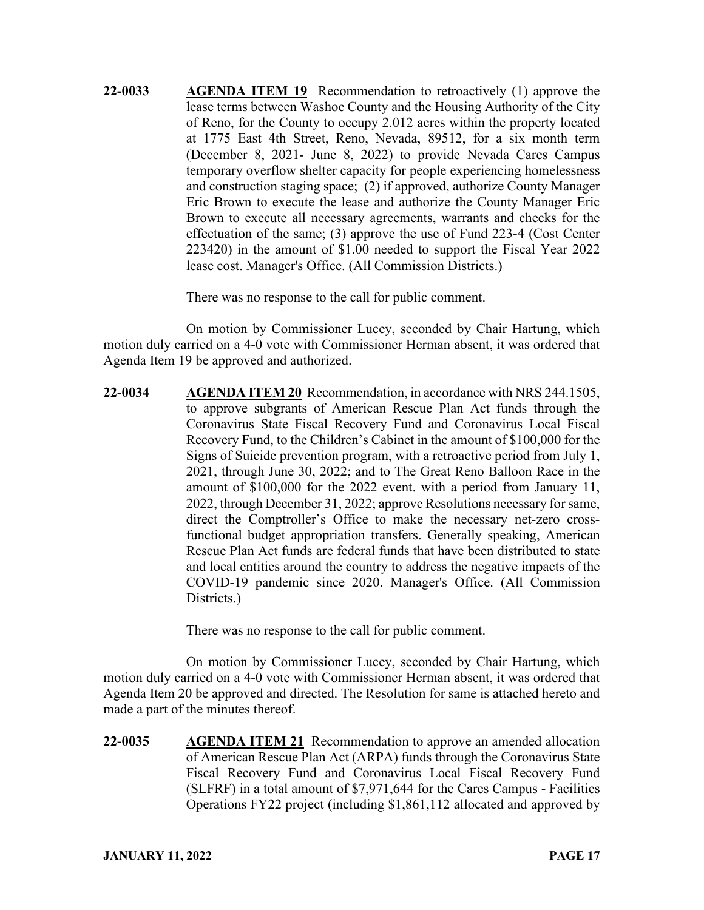**22-0033 AGENDA ITEM 19** Recommendation to retroactively (1) approve the lease terms between Washoe County and the Housing Authority of the City of Reno, for the County to occupy 2.012 acres within the property located at 1775 East 4th Street, Reno, Nevada, 89512, for a six month term (December 8, 2021- June 8, 2022) to provide Nevada Cares Campus temporary overflow shelter capacity for people experiencing homelessness and construction staging space; (2) if approved, authorize County Manager Eric Brown to execute the lease and authorize the County Manager Eric Brown to execute all necessary agreements, warrants and checks for the effectuation of the same; (3) approve the use of Fund 223-4 (Cost Center 223420) in the amount of \$1.00 needed to support the Fiscal Year 2022 lease cost. Manager's Office. (All Commission Districts.)

There was no response to the call for public comment.

On motion by Commissioner Lucey, seconded by Chair Hartung, which motion duly carried on a 4-0 vote with Commissioner Herman absent, it was ordered that Agenda Item 19 be approved and authorized.

**22-0034 AGENDA ITEM 20** Recommendation, in accordance with NRS 244.1505, to approve subgrants of American Rescue Plan Act funds through the Coronavirus State Fiscal Recovery Fund and Coronavirus Local Fiscal Recovery Fund, to the Children's Cabinet in the amount of \$100,000 for the Signs of Suicide prevention program, with a retroactive period from July 1, 2021, through June 30, 2022; and to The Great Reno Balloon Race in the amount of \$100,000 for the 2022 event. with a period from January 11, 2022, through December 31, 2022; approve Resolutions necessary for same, direct the Comptroller's Office to make the necessary net-zero crossfunctional budget appropriation transfers. Generally speaking, American Rescue Plan Act funds are federal funds that have been distributed to state and local entities around the country to address the negative impacts of the COVID-19 pandemic since 2020. Manager's Office. (All Commission Districts.)

There was no response to the call for public comment.

On motion by Commissioner Lucey, seconded by Chair Hartung, which motion duly carried on a 4-0 vote with Commissioner Herman absent, it was ordered that Agenda Item 20 be approved and directed. The Resolution for same is attached hereto and made a part of the minutes thereof.

**22-0035 AGENDA ITEM 21** Recommendation to approve an amended allocation of American Rescue Plan Act (ARPA) funds through the Coronavirus State Fiscal Recovery Fund and Coronavirus Local Fiscal Recovery Fund (SLFRF) in a total amount of \$7,971,644 for the Cares Campus - Facilities Operations FY22 project (including \$1,861,112 allocated and approved by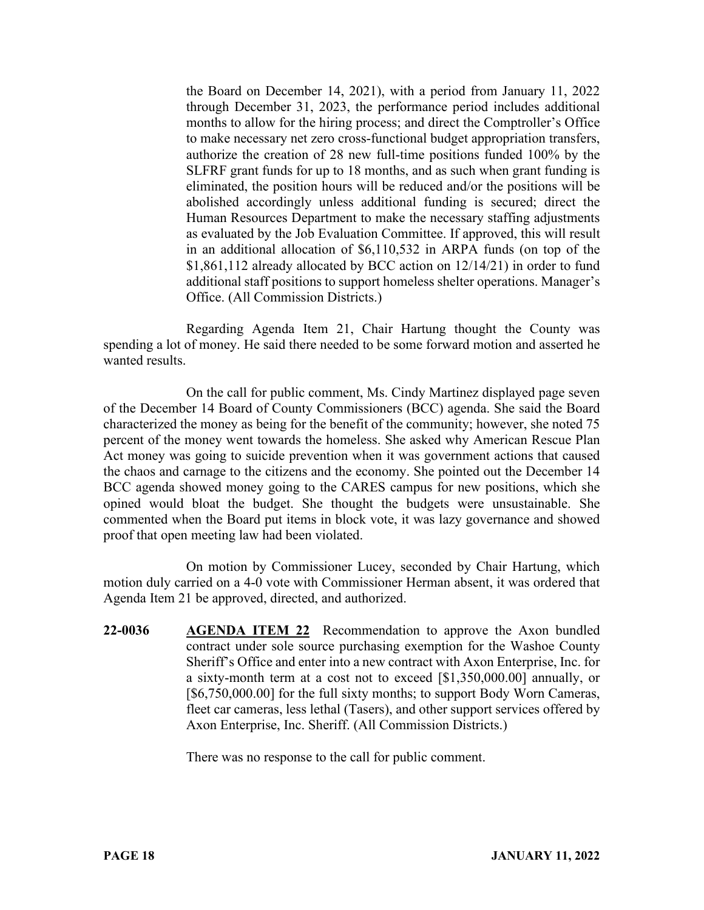the Board on December 14, 2021), with a period from January 11, 2022 through December 31, 2023, the performance period includes additional months to allow for the hiring process; and direct the Comptroller's Office to make necessary net zero cross-functional budget appropriation transfers, authorize the creation of 28 new full-time positions funded 100% by the SLFRF grant funds for up to 18 months, and as such when grant funding is eliminated, the position hours will be reduced and/or the positions will be abolished accordingly unless additional funding is secured; direct the Human Resources Department to make the necessary staffing adjustments as evaluated by the Job Evaluation Committee. If approved, this will result in an additional allocation of \$6,110,532 in ARPA funds (on top of the \$1,861,112 already allocated by BCC action on 12/14/21) in order to fund additional staff positions to support homeless shelter operations. Manager's Office. (All Commission Districts.)

Regarding Agenda Item 21, Chair Hartung thought the County was spending a lot of money. He said there needed to be some forward motion and asserted he wanted results.

On the call for public comment, Ms. Cindy Martinez displayed page seven of the December 14 Board of County Commissioners (BCC) agenda. She said the Board characterized the money as being for the benefit of the community; however, she noted 75 percent of the money went towards the homeless. She asked why American Rescue Plan Act money was going to suicide prevention when it was government actions that caused the chaos and carnage to the citizens and the economy. She pointed out the December 14 BCC agenda showed money going to the CARES campus for new positions, which she opined would bloat the budget. She thought the budgets were unsustainable. She commented when the Board put items in block vote, it was lazy governance and showed proof that open meeting law had been violated.

On motion by Commissioner Lucey, seconded by Chair Hartung, which motion duly carried on a 4-0 vote with Commissioner Herman absent, it was ordered that Agenda Item 21 be approved, directed, and authorized.

**22-0036 AGENDA ITEM 22** Recommendation to approve the Axon bundled contract under sole source purchasing exemption for the Washoe County Sheriff's Office and enter into a new contract with Axon Enterprise, Inc. for a sixty-month term at a cost not to exceed [\$1,350,000.00] annually, or [\$6,750,000.00] for the full sixty months; to support Body Worn Cameras, fleet car cameras, less lethal (Tasers), and other support services offered by Axon Enterprise, Inc. Sheriff. (All Commission Districts.)

There was no response to the call for public comment.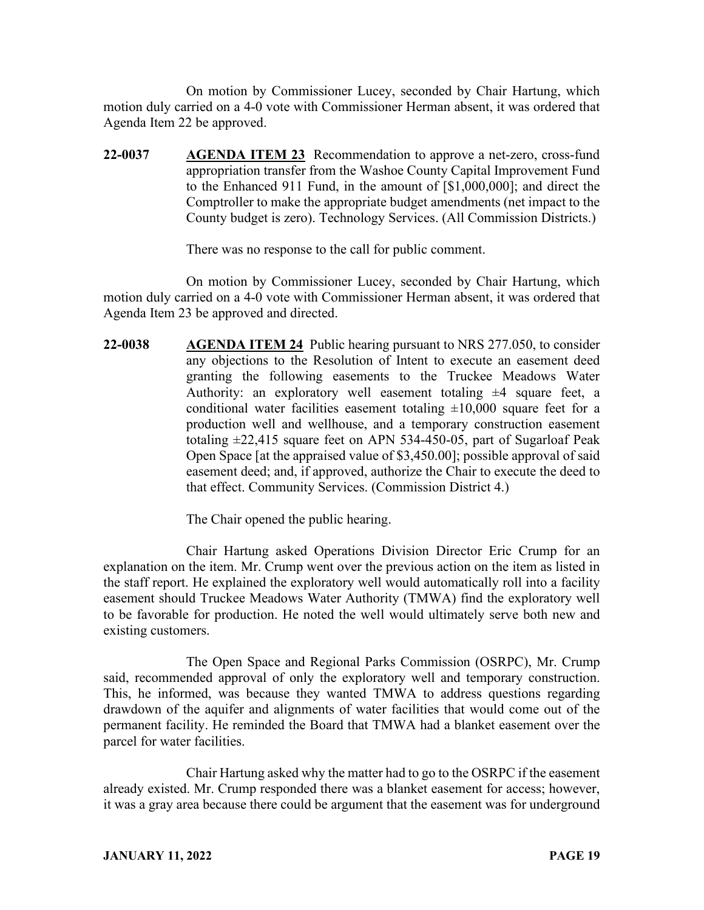On motion by Commissioner Lucey, seconded by Chair Hartung, which motion duly carried on a 4-0 vote with Commissioner Herman absent, it was ordered that Agenda Item 22 be approved.

**22-0037 AGENDA ITEM 23** Recommendation to approve a net-zero, cross-fund appropriation transfer from the Washoe County Capital Improvement Fund to the Enhanced 911 Fund, in the amount of [\$1,000,000]; and direct the Comptroller to make the appropriate budget amendments (net impact to the County budget is zero). Technology Services. (All Commission Districts.)

There was no response to the call for public comment.

On motion by Commissioner Lucey, seconded by Chair Hartung, which motion duly carried on a 4-0 vote with Commissioner Herman absent, it was ordered that Agenda Item 23 be approved and directed.

**22-0038 AGENDA ITEM 24** Public hearing pursuant to NRS 277.050, to consider any objections to the Resolution of Intent to execute an easement deed granting the following easements to the Truckee Meadows Water Authority: an exploratory well easement totaling  $\pm 4$  square feet, a conditional water facilities easement totaling  $\pm 10,000$  square feet for a production well and wellhouse, and a temporary construction easement totaling ±22,415 square feet on APN 534-450-05, part of Sugarloaf Peak Open Space [at the appraised value of \$3,450.00]; possible approval of said easement deed; and, if approved, authorize the Chair to execute the deed to that effect. Community Services. (Commission District 4.)

The Chair opened the public hearing.

Chair Hartung asked Operations Division Director Eric Crump for an explanation on the item. Mr. Crump went over the previous action on the item as listed in the staff report. He explained the exploratory well would automatically roll into a facility easement should Truckee Meadows Water Authority (TMWA) find the exploratory well to be favorable for production. He noted the well would ultimately serve both new and existing customers.

The Open Space and Regional Parks Commission (OSRPC), Mr. Crump said, recommended approval of only the exploratory well and temporary construction. This, he informed, was because they wanted TMWA to address questions regarding drawdown of the aquifer and alignments of water facilities that would come out of the permanent facility. He reminded the Board that TMWA had a blanket easement over the parcel for water facilities.

Chair Hartung asked why the matter had to go to the OSRPC if the easement already existed. Mr. Crump responded there was a blanket easement for access; however, it was a gray area because there could be argument that the easement was for underground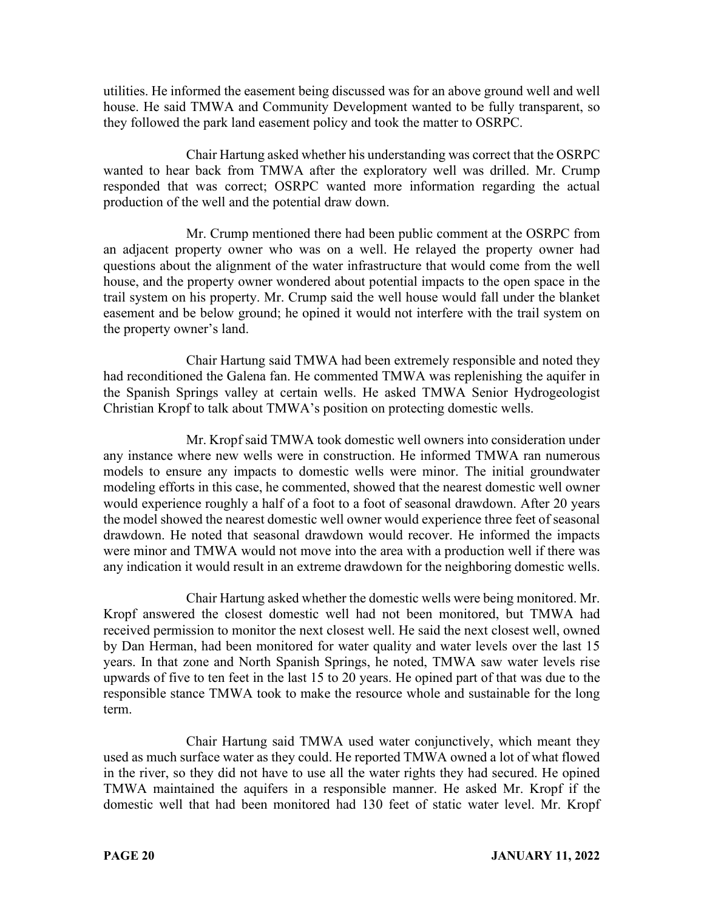utilities. He informed the easement being discussed was for an above ground well and well house. He said TMWA and Community Development wanted to be fully transparent, so they followed the park land easement policy and took the matter to OSRPC.

Chair Hartung asked whether his understanding was correct that the OSRPC wanted to hear back from TMWA after the exploratory well was drilled. Mr. Crump responded that was correct; OSRPC wanted more information regarding the actual production of the well and the potential draw down.

Mr. Crump mentioned there had been public comment at the OSRPC from an adjacent property owner who was on a well. He relayed the property owner had questions about the alignment of the water infrastructure that would come from the well house, and the property owner wondered about potential impacts to the open space in the trail system on his property. Mr. Crump said the well house would fall under the blanket easement and be below ground; he opined it would not interfere with the trail system on the property owner's land.

Chair Hartung said TMWA had been extremely responsible and noted they had reconditioned the Galena fan. He commented TMWA was replenishing the aquifer in the Spanish Springs valley at certain wells. He asked TMWA Senior Hydrogeologist Christian Kropf to talk about TMWA's position on protecting domestic wells.

Mr. Kropf said TMWA took domestic well owners into consideration under any instance where new wells were in construction. He informed TMWA ran numerous models to ensure any impacts to domestic wells were minor. The initial groundwater modeling efforts in this case, he commented, showed that the nearest domestic well owner would experience roughly a half of a foot to a foot of seasonal drawdown. After 20 years the model showed the nearest domestic well owner would experience three feet of seasonal drawdown. He noted that seasonal drawdown would recover. He informed the impacts were minor and TMWA would not move into the area with a production well if there was any indication it would result in an extreme drawdown for the neighboring domestic wells.

Chair Hartung asked whether the domestic wells were being monitored. Mr. Kropf answered the closest domestic well had not been monitored, but TMWA had received permission to monitor the next closest well. He said the next closest well, owned by Dan Herman, had been monitored for water quality and water levels over the last 15 years. In that zone and North Spanish Springs, he noted, TMWA saw water levels rise upwards of five to ten feet in the last 15 to 20 years. He opined part of that was due to the responsible stance TMWA took to make the resource whole and sustainable for the long term.

Chair Hartung said TMWA used water conjunctively, which meant they used as much surface water as they could. He reported TMWA owned a lot of what flowed in the river, so they did not have to use all the water rights they had secured. He opined TMWA maintained the aquifers in a responsible manner. He asked Mr. Kropf if the domestic well that had been monitored had 130 feet of static water level. Mr. Kropf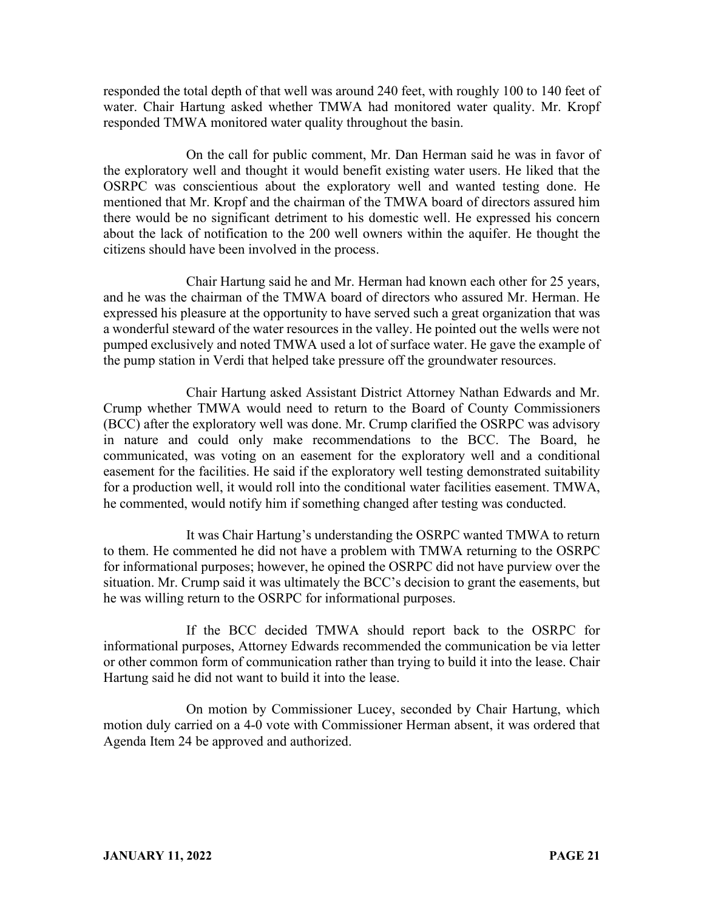responded the total depth of that well was around 240 feet, with roughly 100 to 140 feet of water. Chair Hartung asked whether TMWA had monitored water quality. Mr. Kropf responded TMWA monitored water quality throughout the basin.

On the call for public comment, Mr. Dan Herman said he was in favor of the exploratory well and thought it would benefit existing water users. He liked that the OSRPC was conscientious about the exploratory well and wanted testing done. He mentioned that Mr. Kropf and the chairman of the TMWA board of directors assured him there would be no significant detriment to his domestic well. He expressed his concern about the lack of notification to the 200 well owners within the aquifer. He thought the citizens should have been involved in the process.

Chair Hartung said he and Mr. Herman had known each other for 25 years, and he was the chairman of the TMWA board of directors who assured Mr. Herman. He expressed his pleasure at the opportunity to have served such a great organization that was a wonderful steward of the water resources in the valley. He pointed out the wells were not pumped exclusively and noted TMWA used a lot of surface water. He gave the example of the pump station in Verdi that helped take pressure off the groundwater resources.

Chair Hartung asked Assistant District Attorney Nathan Edwards and Mr. Crump whether TMWA would need to return to the Board of County Commissioners (BCC) after the exploratory well was done. Mr. Crump clarified the OSRPC was advisory in nature and could only make recommendations to the BCC. The Board, he communicated, was voting on an easement for the exploratory well and a conditional easement for the facilities. He said if the exploratory well testing demonstrated suitability for a production well, it would roll into the conditional water facilities easement. TMWA, he commented, would notify him if something changed after testing was conducted.

It was Chair Hartung's understanding the OSRPC wanted TMWA to return to them. He commented he did not have a problem with TMWA returning to the OSRPC for informational purposes; however, he opined the OSRPC did not have purview over the situation. Mr. Crump said it was ultimately the BCC's decision to grant the easements, but he was willing return to the OSRPC for informational purposes.

If the BCC decided TMWA should report back to the OSRPC for informational purposes, Attorney Edwards recommended the communication be via letter or other common form of communication rather than trying to build it into the lease. Chair Hartung said he did not want to build it into the lease.

On motion by Commissioner Lucey, seconded by Chair Hartung, which motion duly carried on a 4-0 vote with Commissioner Herman absent, it was ordered that Agenda Item 24 be approved and authorized.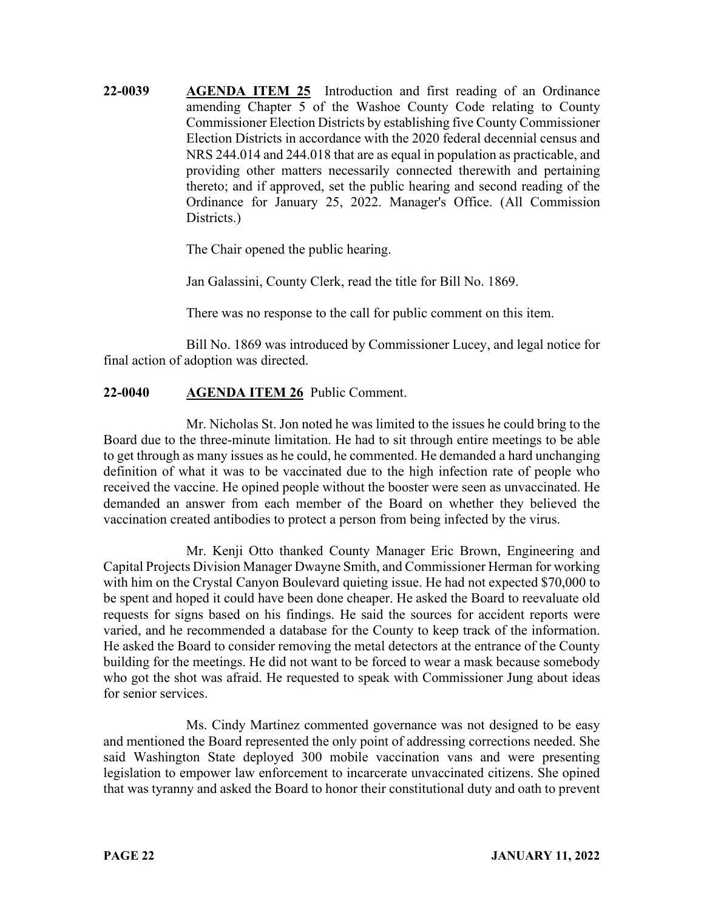**22-0039 AGENDA ITEM 25** Introduction and first reading of an Ordinance amending Chapter 5 of the Washoe County Code relating to County Commissioner Election Districts by establishing five County Commissioner Election Districts in accordance with the 2020 federal decennial census and NRS 244.014 and 244.018 that are as equal in population as practicable, and providing other matters necessarily connected therewith and pertaining thereto; and if approved, set the public hearing and second reading of the Ordinance for January 25, 2022. Manager's Office. (All Commission Districts.)

The Chair opened the public hearing.

Jan Galassini, County Clerk, read the title for Bill No. 1869.

There was no response to the call for public comment on this item.

Bill No. 1869 was introduced by Commissioner Lucey, and legal notice for final action of adoption was directed.

## **22-0040 AGENDA ITEM 26** Public Comment.

Mr. Nicholas St. Jon noted he was limited to the issues he could bring to the Board due to the three-minute limitation. He had to sit through entire meetings to be able to get through as many issues as he could, he commented. He demanded a hard unchanging definition of what it was to be vaccinated due to the high infection rate of people who received the vaccine. He opined people without the booster were seen as unvaccinated. He demanded an answer from each member of the Board on whether they believed the vaccination created antibodies to protect a person from being infected by the virus.

Mr. Kenji Otto thanked County Manager Eric Brown, Engineering and Capital Projects Division Manager Dwayne Smith, and Commissioner Herman for working with him on the Crystal Canyon Boulevard quieting issue. He had not expected \$70,000 to be spent and hoped it could have been done cheaper. He asked the Board to reevaluate old requests for signs based on his findings. He said the sources for accident reports were varied, and he recommended a database for the County to keep track of the information. He asked the Board to consider removing the metal detectors at the entrance of the County building for the meetings. He did not want to be forced to wear a mask because somebody who got the shot was afraid. He requested to speak with Commissioner Jung about ideas for senior services.

Ms. Cindy Martinez commented governance was not designed to be easy and mentioned the Board represented the only point of addressing corrections needed. She said Washington State deployed 300 mobile vaccination vans and were presenting legislation to empower law enforcement to incarcerate unvaccinated citizens. She opined that was tyranny and asked the Board to honor their constitutional duty and oath to prevent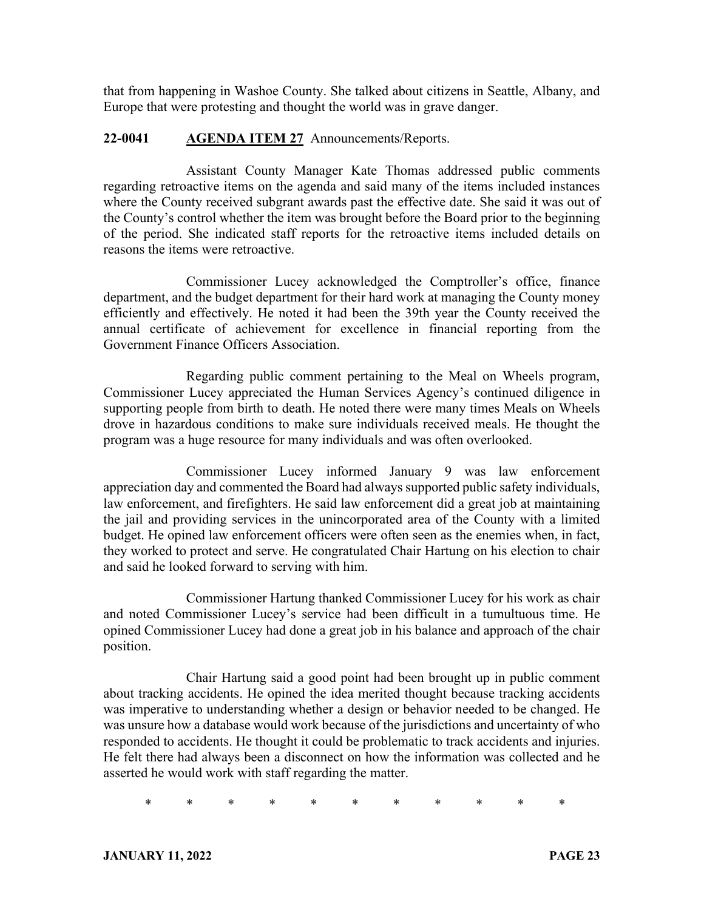that from happening in Washoe County. She talked about citizens in Seattle, Albany, and Europe that were protesting and thought the world was in grave danger.

#### **22-0041 AGENDA ITEM 27** Announcements/Reports.

Assistant County Manager Kate Thomas addressed public comments regarding retroactive items on the agenda and said many of the items included instances where the County received subgrant awards past the effective date. She said it was out of the County's control whether the item was brought before the Board prior to the beginning of the period. She indicated staff reports for the retroactive items included details on reasons the items were retroactive.

Commissioner Lucey acknowledged the Comptroller's office, finance department, and the budget department for their hard work at managing the County money efficiently and effectively. He noted it had been the 39th year the County received the annual certificate of achievement for excellence in financial reporting from the Government Finance Officers Association.

Regarding public comment pertaining to the Meal on Wheels program, Commissioner Lucey appreciated the Human Services Agency's continued diligence in supporting people from birth to death. He noted there were many times Meals on Wheels drove in hazardous conditions to make sure individuals received meals. He thought the program was a huge resource for many individuals and was often overlooked.

Commissioner Lucey informed January 9 was law enforcement appreciation day and commented the Board had always supported public safety individuals, law enforcement, and firefighters. He said law enforcement did a great job at maintaining the jail and providing services in the unincorporated area of the County with a limited budget. He opined law enforcement officers were often seen as the enemies when, in fact, they worked to protect and serve. He congratulated Chair Hartung on his election to chair and said he looked forward to serving with him.

Commissioner Hartung thanked Commissioner Lucey for his work as chair and noted Commissioner Lucey's service had been difficult in a tumultuous time. He opined Commissioner Lucey had done a great job in his balance and approach of the chair position.

Chair Hartung said a good point had been brought up in public comment about tracking accidents. He opined the idea merited thought because tracking accidents was imperative to understanding whether a design or behavior needed to be changed. He was unsure how a database would work because of the jurisdictions and uncertainty of who responded to accidents. He thought it could be problematic to track accidents and injuries. He felt there had always been a disconnect on how the information was collected and he asserted he would work with staff regarding the matter.

\* \* \* \* \* \* \* \* \* \* \*